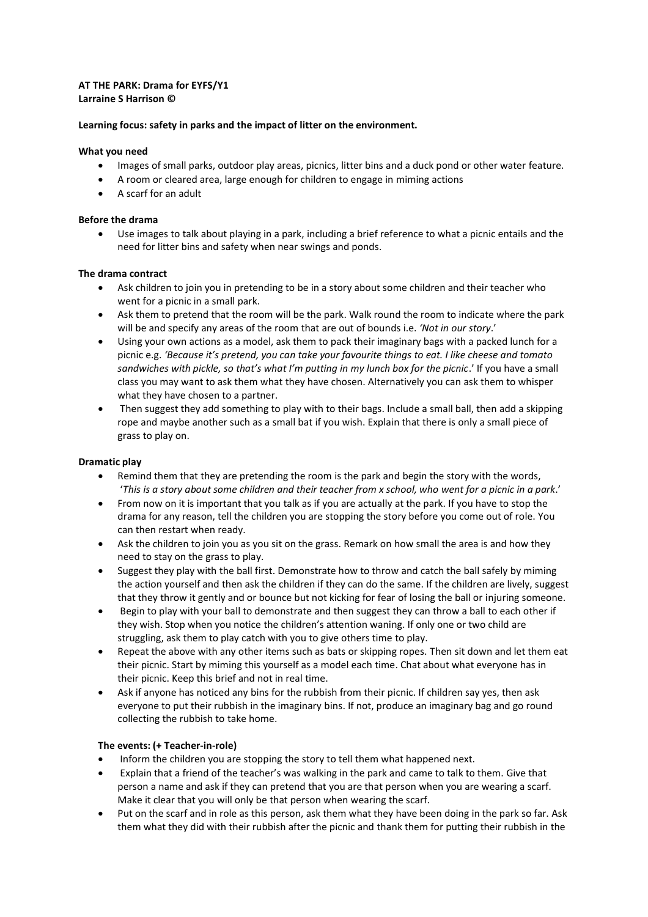### **AT THE PARK: Drama for EYFS/Y1 Larraine S Harrison ©**

### **Learning focus: safety in parks and the impact of litter on the environment.**

### **What you need**

- Images of small parks, outdoor play areas, picnics, litter bins and a duck pond or other water feature.
- A room or cleared area, large enough for children to engage in miming actions
- A scarf for an adult

### **Before the drama**

• Use images to talk about playing in a park, including a brief reference to what a picnic entails and the need for litter bins and safety when near swings and ponds.

# **The drama contract**

- Ask children to join you in pretending to be in a story about some children and their teacher who went for a picnic in a small park.
- Ask them to pretend that the room will be the park. Walk round the room to indicate where the park will be and specify any areas of the room that are out of bounds i.e. *'Not in our story*.'
- Using your own actions as a model, ask them to pack their imaginary bags with a packed lunch for a picnic e.g. *'Because it's pretend, you can take your favourite things to eat. I like cheese and tomato sandwiches with pickle, so that's what I'm putting in my lunch box for the picnic*.' If you have a small class you may want to ask them what they have chosen. Alternatively you can ask them to whisper what they have chosen to a partner.
- Then suggest they add something to play with to their bags. Include a small ball, then add a skipping rope and maybe another such as a small bat if you wish. Explain that there is only a small piece of grass to play on.

### **Dramatic play**

- Remind them that they are pretending the room is the park and begin the story with the words, '*This is a story about some children and their teacher from x school, who went for a picnic in a park*.'
- From now on it is important that you talk as if you are actually at the park. If you have to stop the drama for any reason, tell the children you are stopping the story before you come out of role. You can then restart when ready.
- Ask the children to join you as you sit on the grass. Remark on how small the area is and how they need to stay on the grass to play.
- Suggest they play with the ball first. Demonstrate how to throw and catch the ball safely by miming the action yourself and then ask the children if they can do the same. If the children are lively, suggest that they throw it gently and or bounce but not kicking for fear of losing the ball or injuring someone.
- Begin to play with your ball to demonstrate and then suggest they can throw a ball to each other if they wish. Stop when you notice the children's attention waning. If only one or two child are struggling, ask them to play catch with you to give others time to play.
- Repeat the above with any other items such as bats or skipping ropes. Then sit down and let them eat their picnic. Start by miming this yourself as a model each time. Chat about what everyone has in their picnic. Keep this brief and not in real time.
- Ask if anyone has noticed any bins for the rubbish from their picnic. If children say yes, then ask everyone to put their rubbish in the imaginary bins. If not, produce an imaginary bag and go round collecting the rubbish to take home.

# **The events: (+ Teacher-in-role)**

- Inform the children you are stopping the story to tell them what happened next.
- Explain that a friend of the teacher's was walking in the park and came to talk to them. Give that person a name and ask if they can pretend that you are that person when you are wearing a scarf. Make it clear that you will only be that person when wearing the scarf.
- Put on the scarf and in role as this person, ask them what they have been doing in the park so far. Ask them what they did with their rubbish after the picnic and thank them for putting their rubbish in the